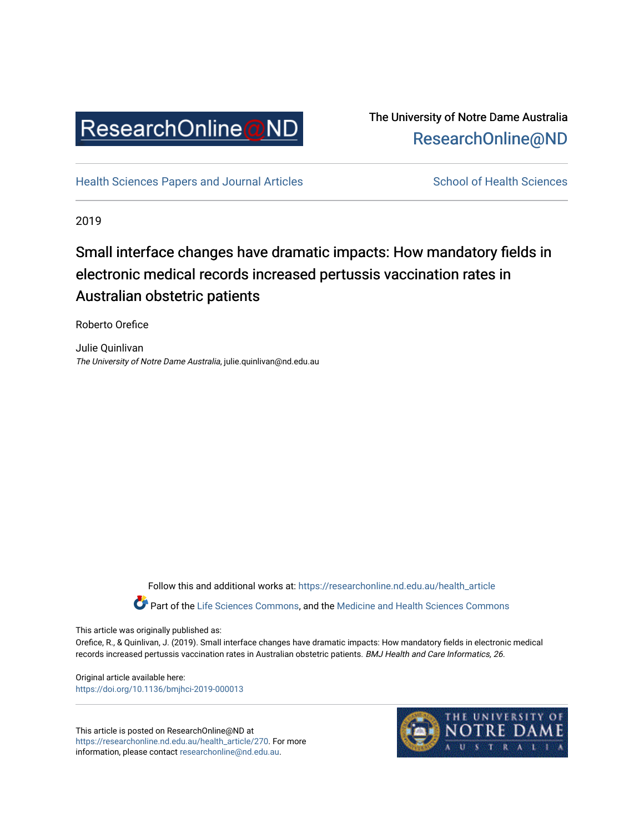

## The University of Notre Dame Australia [ResearchOnline@ND](https://researchonline.nd.edu.au/)

[Health Sciences Papers and Journal Articles](https://researchonline.nd.edu.au/health_article) School of Health Sciences

2019

# Small interface changes have dramatic impacts: How mandatory fields in electronic medical records increased pertussis vaccination rates in Australian obstetric patients

Roberto Orefice

Julie Quinlivan The University of Notre Dame Australia, julie.quinlivan@nd.edu.au

Follow this and additional works at: [https://researchonline.nd.edu.au/health\\_article](https://researchonline.nd.edu.au/health_article?utm_source=researchonline.nd.edu.au%2Fhealth_article%2F270&utm_medium=PDF&utm_campaign=PDFCoverPages)

Part of the [Life Sciences Commons](http://network.bepress.com/hgg/discipline/1016?utm_source=researchonline.nd.edu.au%2Fhealth_article%2F270&utm_medium=PDF&utm_campaign=PDFCoverPages), and the Medicine and Health Sciences Commons

This article was originally published as:

Orefice, R., & Quinlivan, J. (2019). Small interface changes have dramatic impacts: How mandatory fields in electronic medical records increased pertussis vaccination rates in Australian obstetric patients. BMJ Health and Care Informatics, 26.

Original article available here: <https://doi.org/10.1136/bmjhci-2019-000013>

This article is posted on ResearchOnline@ND at [https://researchonline.nd.edu.au/health\\_article/270](https://researchonline.nd.edu.au/health_article/270). For more information, please contact [researchonline@nd.edu.au.](mailto:researchonline@nd.edu.au)

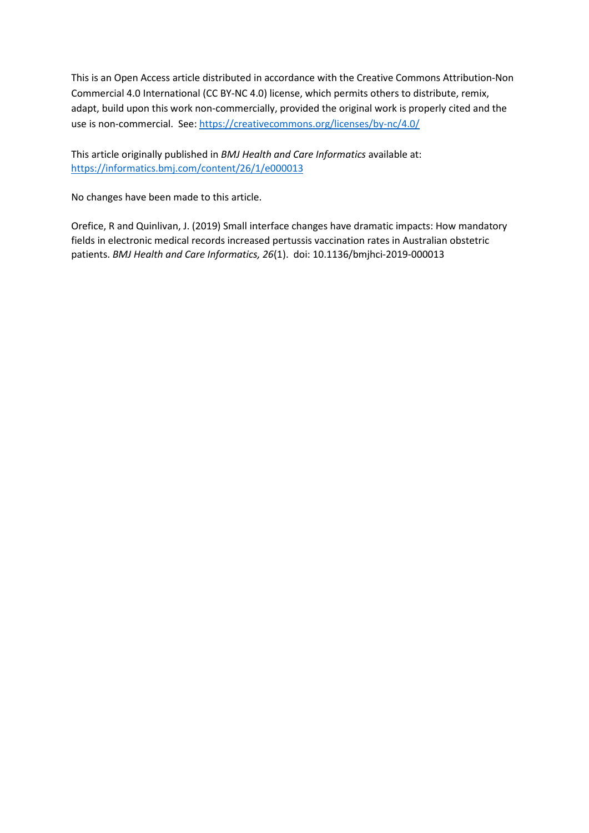This is an Open Access article distributed in accordance with the Creative Commons Attribution-Non Commercial 4.0 International (CC BY-NC 4.0) license, which permits others to distribute, remix, adapt, build upon this work non-commercially, provided the original work is properly cited and the use is non-commercial. See[: https://creativecommons.org/licenses/by-nc/4.0/](https://creativecommons.org/licenses/by-nc/4.0/)

This article originally published in *BMJ Health and Care Informatics* available at: <https://informatics.bmj.com/content/26/1/e000013>

No changes have been made to this article.

Orefice, R and Quinlivan, J. (2019) Small interface changes have dramatic impacts: How mandatory fields in electronic medical records increased pertussis vaccination rates in Australian obstetric patients. *BMJ Health and Care Informatics, 26*(1). doi: 10.1136/bmjhci-2019-000013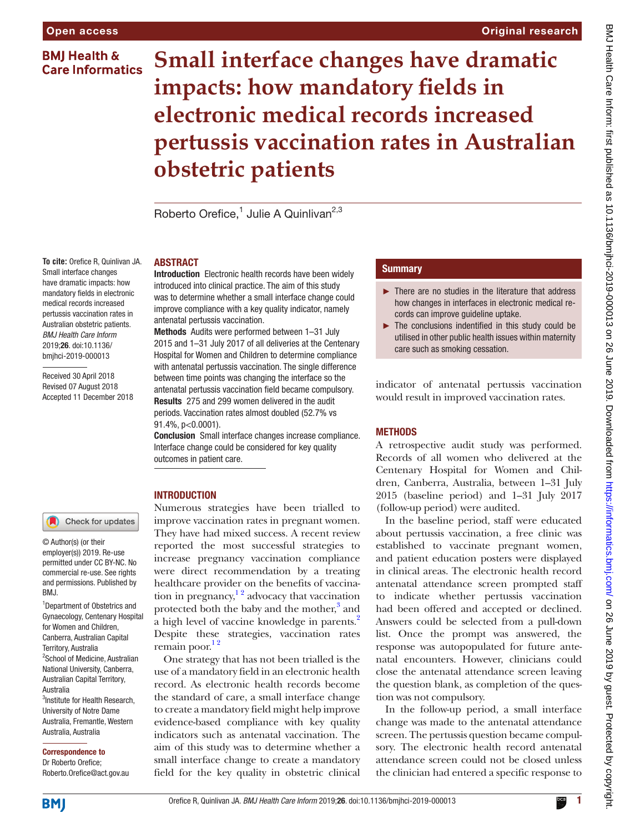### **BMI Health & Care Informatics**

# **Small interface changes have dramatic impacts: how mandatory fields in electronic medical records increased pertussis vaccination rates in Australian obstetric patients**

Roberto Orefice,<sup>1</sup> Julie A Quinlivan<sup>2,3</sup>

#### **To cite:** Orefice R, Quinlivan JA. Small interface changes have dramatic impacts: how mandatory fields in electronic medical records increased pertussis vaccination rates in Australian obstetric patients. *BMJ Health Care Inform* 2019;26. doi:10.1136/ bmjhci-2019-000013

Received 30 April 2018 Revised 07 August 2018 Accepted 11 December 2018

**ABSTRACT** 

Introduction Electronic health records have been widely introduced into clinical practice. The aim of this study was to determine whether a small interface change could improve compliance with a key quality indicator, namely antenatal pertussis vaccination.

Methods Audits were performed between 1–31 July 2015 and 1–31 July 2017 of all deliveries at the Centenary Hospital for Women and Children to determine compliance with antenatal pertussis vaccination. The single difference between time points was changing the interface so the antenatal pertussis vaccination field became compulsory. Results 275 and 299 women delivered in the audit periods. Vaccination rates almost doubled (52.7% vs 91.4%, p<0.0001).

Conclusion Small interface changes increase compliance. Interface change could be considered for key quality outcomes in patient care.

#### **INTRODUCTION**

Numerous strategies have been trialled to improve vaccination rates in pregnant women. They have had mixed success. A recent review reported the most successful strategies to increase pregnancy vaccination compliance were direct recommendation by a treating healthcare provider on the benefits of vaccination in pregnancy, $\frac{1}{2}$  advocacy that vaccination protected both the baby and the mother,<sup>3</sup> and a high level of vaccine knowledge in parents.<sup>2</sup> Despite these strategies, vaccination rates remain poor. $12$ 

One strategy that has not been trialled is the use of a mandatory field in an electronic health record. As electronic health records become the standard of care, a small interface change to create a mandatory field might help improve evidence-based compliance with key quality indicators such as antenatal vaccination. The aim of this study was to determine whether a small interface change to create a mandatory field for the key quality in obstetric clinical

#### **Summary**

► There are no studies in the literature that address how changes in interfaces in electronic medical records can improve guideline uptake.

Original research

► The conclusions indentified in this study could be utilised in other public health issues within maternity care such as smoking cessation.

indicator of antenatal pertussis vaccination would result in improved vaccination rates.

#### **METHODS**

A retrospective audit study was performed. Records of all women who delivered at the Centenary Hospital for Women and Children, Canberra, Australia, between 1–31 July 2015 (baseline period) and 1–31 July 2017 (follow-up period) were audited.

In the baseline period, staff were educated about pertussis vaccination, a free clinic was established to vaccinate pregnant women, and patient education posters were displayed in clinical areas. The electronic health record antenatal attendance screen prompted staff to indicate whether pertussis vaccination had been offered and accepted or declined. Answers could be selected from a pull-down list. Once the prompt was answered, the response was autopopulated for future antenatal encounters. However, clinicians could close the antenatal attendance screen leaving the question blank, as completion of the question was not compulsory.

In the follow-up period, a small interface change was made to the antenatal attendance screen. The pertussis question became compulsory. The electronic health record antenatal attendance screen could not be closed unless the clinician had entered a specific response to

Check for updates

© Author(s) (or their employer(s)) 2019. Re-use permitted under CC BY-NC. No commercial re-use. See rights and permissions. Published by RM<sub>J</sub>

<sup>1</sup>Department of Obstetrics and Gynaecology, Centenary Hospital for Women and Children, Canberra, Australian Capital Territory, Australia 2 School of Medicine, Australian National University, Canberra, Australian Capital Territory, Australia <sup>3</sup>Institute for Health Research, University of Notre Dame Australia, Fremantle, Western Australia, Australia

Correspondence to Dr Roberto Orefice;

Roberto.Orefice@act.gov.au

Orefice R, Quinlivan JA. *BMJ Health Care Inform* 2019;26. doi:10.1136/bmjhci-2019-000013 1

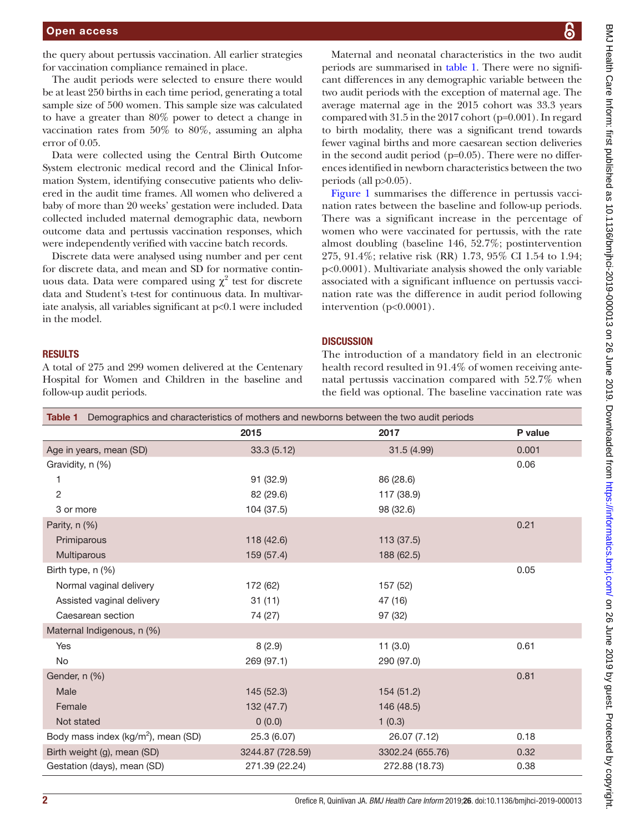the query about pertussis vaccination. All earlier strategies for vaccination compliance remained in place.

The audit periods were selected to ensure there would be at least 250 births in each time period, generating a total sample size of 500 women. This sample size was calculated to have a greater than 80% power to detect a change in vaccination rates from 50% to 80%, assuming an alpha error of 0.05.

Data were collected using the Central Birth Outcome System electronic medical record and the Clinical Information System, identifying consecutive patients who delivered in the audit time frames. All women who delivered a baby of more than 20 weeks' gestation were included. Data collected included maternal demographic data, newborn outcome data and pertussis vaccination responses, which were independently verified with vaccine batch records.

Discrete data were analysed using number and per cent for discrete data, and mean and SD for normative continuous data. Data were compared using  $\chi^2$  test for discrete data and Student's t-test for continuous data. In multivariate analysis, all variables significant at p<0.1 were included in the model.

#### **RESULTS**

A total of 275 and 299 women delivered at the Centenary Hospital for Women and Children in the baseline and follow-up audit periods.

BMJ Health Care Inform: first published as 10.1136/bmjhci-2019-000013 on 26 June 2019. Downloaded from https://informatics.bmj.com/ on 26 June 2019 by guest. Protected by copyright BMJ Health Care Inform: first published as 10.1136/bmjhci-2019-000013 on 26 June 2019. Downloaded from mtps://informatics.bmj.com/ on 26 June 2019 yopyright. Protected by copyright.

Maternal and neonatal characteristics in the two audit periods are summarised in [table](#page-3-0) 1. There were no significant differences in any demographic variable between the two audit periods with the exception of maternal age. The average maternal age in the 2015 cohort was 33.3 years compared with 31.5 in the 2017 cohort (p=0.001). In regard to birth modality, there was a significant trend towards fewer vaginal births and more caesarean section deliveries in the second audit period (p=0.05). There were no differences identified in newborn characteristics between the two periods (all p>0.05).

[Figure](#page-4-3) 1 summarises the difference in pertussis vaccination rates between the baseline and follow-up periods. There was a significant increase in the percentage of women who were vaccinated for pertussis, with the rate almost doubling (baseline 146, 52.7%; postintervention 275, 91.4%; relative risk (RR) 1.73, 95% CI 1.54 to 1.94; p<0.0001). Multivariate analysis showed the only variable associated with a significant influence on pertussis vaccination rate was the difference in audit period following intervention (p<0.0001).

#### **DISCUSSION**

The introduction of a mandatory field in an electronic health record resulted in 91.4% of women receiving antenatal pertussis vaccination compared with 52.7% when the field was optional. The baseline vaccination rate was

<span id="page-3-0"></span>

| Table 1 Demographics and characteristics of mothers and newborns between the two audit periods |                  |                  |         |
|------------------------------------------------------------------------------------------------|------------------|------------------|---------|
|                                                                                                | 2015             | 2017             | P value |
| Age in years, mean (SD)                                                                        | 33.3(5.12)       | 31.5 (4.99)      | 0.001   |
| Gravidity, n (%)                                                                               |                  |                  | 0.06    |
| 1                                                                                              | 91 (32.9)        | 86 (28.6)        |         |
| $\mathbf{2}$                                                                                   | 82 (29.6)        | 117 (38.9)       |         |
| 3 or more                                                                                      | 104 (37.5)       | 98 (32.6)        |         |
| Parity, n (%)                                                                                  |                  |                  | 0.21    |
| Primiparous                                                                                    | 118(42.6)        | 113(37.5)        |         |
| Multiparous                                                                                    | 159 (57.4)       | 188 (62.5)       |         |
| Birth type, n (%)                                                                              |                  |                  | 0.05    |
| Normal vaginal delivery                                                                        | 172 (62)         | 157 (52)         |         |
| Assisted vaginal delivery                                                                      | 31(11)           | 47 (16)          |         |
| Caesarean section                                                                              | 74 (27)          | 97 (32)          |         |
| Maternal Indigenous, n (%)                                                                     |                  |                  |         |
| Yes                                                                                            | 8(2.9)           | 11(3.0)          | 0.61    |
| No                                                                                             | 269 (97.1)       | 290 (97.0)       |         |
| Gender, n (%)                                                                                  |                  |                  | 0.81    |
| Male                                                                                           | 145 (52.3)       | 154 (51.2)       |         |
| Female                                                                                         | 132 (47.7)       | 146 (48.5)       |         |
| Not stated                                                                                     | 0(0.0)           | 1(0.3)           |         |
| Body mass index (kg/m <sup>2</sup> ), mean (SD)                                                | 25.3 (6.07)      | 26.07 (7.12)     | 0.18    |
| Birth weight (g), mean (SD)                                                                    | 3244.87 (728.59) | 3302.24 (655.76) | 0.32    |
| Gestation (days), mean (SD)                                                                    | 271.39 (22.24)   | 272.88 (18.73)   | 0.38    |